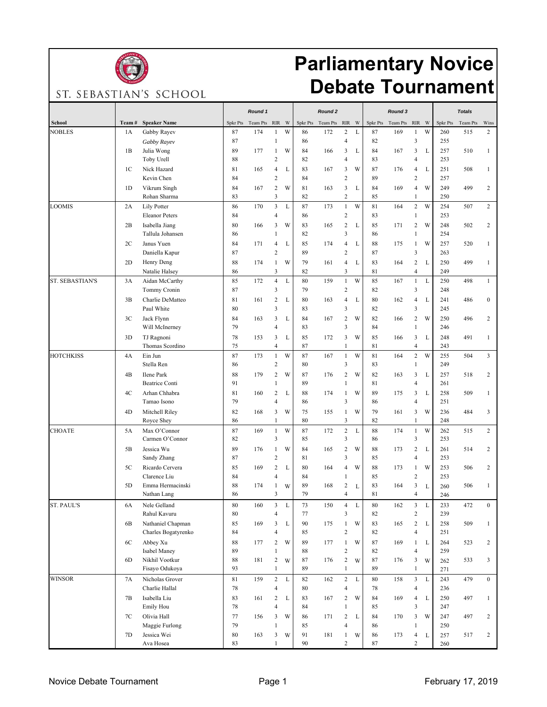

## **Parliamentary Novice Debate Tournament**

ST. SEBASTIAN'S SCHOOL

| School<br>Team#<br><b>Speaker Name</b><br>RIR W<br><b>Spkr Pts</b><br>Team Pts<br>$\rm RIR$<br>W<br>Spkr Pts<br>Team Pts<br>$R$ IR<br>W<br>Spkr Pts<br>Team Pts<br>Wins<br>Spkr Pts<br>Team Pts<br>W<br>172<br>$\overline{c}$<br>$\mathbf L$<br>169<br>W<br>$\overline{2}$<br><b>NOBLES</b><br>174<br>86<br>87<br>$\mathbf{1}$<br>260<br>515<br>1A<br>Gabby Rayev<br>87<br>$\mathbf{1}$<br>$\overline{4}$<br>82<br>3<br>87<br>86<br>255<br>1<br>Gabby Rayev<br>3<br>1B<br>89<br>177<br>W<br>84<br>3<br>L<br>84<br>167<br>L<br>257<br>510<br>$\mathbf{1}$<br>Julia Wong<br>1<br>166<br>$\sqrt{2}$<br>82<br>$\overline{4}$<br>83<br>253<br>Toby Urell<br>88<br>$\overline{4}$<br>W<br>87<br>$\mathbf L$<br>1 <sup>C</sup><br>Nick Hazard<br>81<br>165<br>$\overline{4}$<br>83<br>167<br>3<br>176<br>251<br>508<br>L<br>4<br>$\mathbf{1}$<br>84<br>$\sqrt{2}$<br>89<br>$\overline{c}$<br>Kevin Chen<br>84<br>$\overline{c}$<br>257<br>1 <sub>D</sub><br>$\sqrt{2}$<br>81<br>3<br>169<br>W<br>249<br>499<br>167<br>W<br>163<br>L<br>84<br>$\overline{4}$<br>$\overline{c}$<br>Vikrum Singh<br>84<br>$\overline{c}$<br>3<br>Rohan Sharma<br>83<br>82<br>85<br>250<br>$\mathbf{1}$<br>3<br>$\mathbf{1}$<br>W<br>$\overline{c}$<br>W<br>254<br>$\overline{c}$<br><b>COMIS</b><br>Lily Potter<br>86<br>170<br>L<br>87<br>173<br>81<br>164<br>507<br>2A<br>$\overline{c}$<br>$\overline{4}$<br>83<br><b>Eleanor Peters</b><br>84<br>86<br>$\mathbf{1}$<br>253<br>$\overline{2}$<br>85<br>$\sqrt{2}$<br>2B<br>Isabella Jiang<br>80<br>166<br>3<br>W<br>83<br>165<br>L<br>171<br>W<br>248<br>502<br>$\overline{c}$<br>$\mathfrak{Z}$<br>$\mathbf{1}$<br>82<br>86<br>254<br>Tallula Johansen<br>86<br>1<br>2C<br>Janus Yuen<br>171<br>85<br>174<br>$\overline{4}$<br>L<br>88<br>175<br>$\mathbf{1}$<br>W<br>257<br>520<br>$\mathbf{1}$<br>84<br>$\overline{4}$<br>L<br>3<br>$\sqrt{2}$<br>89<br>$\overline{c}$<br>87<br>Daniella Kapur<br>87<br>263<br>$\overline{c}$<br>2D<br>Henry Deng<br>88<br>174<br>W<br>79<br>161<br>$\overline{4}$<br>L<br>83<br>164<br>L<br>250<br>499<br>1<br>$\mathbf{1}$<br>$\mathfrak{Z}$<br>$\mathfrak{Z}$<br>$\overline{4}$<br>82<br>81<br>249<br>Natalie Halsey<br>86<br>$\overline{4}$<br>$\,1\,$<br>W<br>L<br>3A<br>85<br>172<br>L<br>80<br>159<br>85<br>167<br>$\mathbf{1}$<br>250<br>498<br>$\mathbf{1}$<br>Aidan McCarthy<br>3<br>3<br>79<br>$\sqrt{2}$<br>82<br>87<br>248<br>Tommy Cronin<br>3B<br>Charlie DeMatteo<br>81<br>161<br>$\overline{c}$<br>80<br>163<br>4<br>L<br>80<br>162<br>$\overline{4}$<br>L<br>241<br>486<br>$\boldsymbol{0}$<br>L<br>3<br>3<br>83<br>$\mathfrak{Z}$<br>82<br>Paul White<br>80<br>245<br>W<br>3 <sub>C</sub><br>Jack Flynn<br>84<br>163<br>3<br>84<br>167<br>$\boldsymbol{2}$<br>W<br>82<br>166<br>$\sqrt{2}$<br>250<br>496<br>$\overline{c}$<br>L<br>79<br>$\overline{4}$<br>83<br>$\mathfrak{Z}$<br>84<br>$\mathbf{1}$<br>246<br>Will McInerney<br>3<br>3D<br>78<br>153<br>3<br>85<br>172<br>3<br>W<br>85<br>166<br>L<br>248<br>491<br>TJ Ragnoni<br>L<br>$\mathbf{1}$<br>$\overline{4}$<br>Thomas Scordino<br>75<br>87<br>1<br>81<br>$\overline{4}$<br>243<br>W<br>W<br>81<br>$\overline{c}$<br>W<br>3<br>Ein Jun<br>87<br>173<br>$\mathbf{1}$<br>87<br>167<br>$\mathbf{1}$<br>164<br>255<br>504<br>4A<br>$\overline{2}$<br>80<br>$\mathfrak{Z}$<br>83<br>$\mathbf{1}$<br>249<br>Stella Ren<br>86<br>$\sqrt{2}$<br>4B<br>Ilene Park<br>88<br>179<br>$\overline{c}$<br>W<br>87<br>176<br>W<br>82<br>163<br>3<br>L<br>257<br>518<br>$\overline{c}$<br>89<br>$\mathbf{1}$<br>81<br><b>Beatrice Conti</b><br>91<br>$\mathbf{1}$<br>4<br>261<br>4C<br>Arhan Chhabra<br>160<br>$\overline{c}$<br>88<br>174<br>W<br>89<br>175<br>3<br>L<br>258<br>509<br>81<br>L<br>1<br>$\mathbf{1}$<br>$\overline{4}$<br>3<br>$\overline{\mathbf{4}}$<br>79<br>86<br>86<br>251<br>Tamao Isono<br>79<br>$\mathbf{3}$<br>W<br>236<br>4D<br>Mitchell Riley<br>82<br>168<br>3<br>W<br>75<br>155<br>$\mathbf{1}$<br>W<br>161<br>484<br>3<br>$\mathfrak{Z}$<br>86<br>$\mathbf{1}$<br>80<br>82<br>$\mathbf{1}$<br>248<br>Royce Shey<br>$\overline{c}$<br>W<br>W<br>$\mathbf{L}$<br>88<br>174<br>$\overline{c}$<br>Max O'Connor<br>87<br>169<br>87<br>172<br>$\mathbf{1}$<br>262<br>515<br>5A<br>$\mathbf{1}$<br>$\overline{\mathbf{3}}$<br>3<br>$\mathbf{3}$<br>85<br>Carmen O'Connor<br>82<br>86<br>253<br>89<br>W<br>84<br>$\sqrt{2}$<br>W<br>88<br>$\sqrt{2}$<br>$\overline{c}$<br>5 <sub>B</sub><br>Jessica Wu<br>176<br>165<br>173<br>L<br>261<br>514<br>1<br>$\overline{\mathbf{3}}$<br>$\sqrt{2}$<br>$\overline{4}$<br>253<br>87<br>81<br>85<br>Sandy Zhang<br>$\overline{c}$<br>$\overline{4}$<br>W<br>W<br>5C<br>Ricardo Cervera<br>85<br>169<br>L<br>80<br>164<br>88<br>173<br>$\mathbf{1}$<br>253<br>506<br>$\overline{c}$<br>$\overline{c}$<br>253<br>Clarence Liu<br>84<br>$\overline{4}$<br>84<br>$\mathbf{1}$<br>85<br>$\overline{c}$<br>3<br>Emma Hermacinski<br>89<br>168<br>83<br>164<br>5D<br>88<br>174<br>506<br>1<br>1<br>W<br>260<br>L<br>L<br>3<br>79<br>$\overline{4}$<br>81<br>$\overline{4}$<br>Nathan Lang<br>86<br>246<br><b>ST. PAUL'S</b><br>Nele Gelland<br>160<br>$\mathfrak{Z}$<br>L<br>150<br>$\mathbf L$<br>$80\,$<br>162<br>$\mathfrak{Z}$<br>$\mathbf L$<br>233<br>472<br>6A<br>80<br>73<br>$\overline{4}$<br>$\mathbf{0}$<br>$\sqrt{2}$<br>Rahul Kavuru<br>$\overline{4}$<br>77<br>$\mathfrak{Z}$<br>82<br>239<br>80<br>Nathaniel Chapman<br>175<br>W<br>83<br>165<br>$\sqrt{2}$<br>L<br>258<br>509<br>6B<br>85<br>169<br>3<br>L<br>90<br>$\mathbf{1}$<br>$\mathbf{1}$<br>$\sqrt{2}$<br>$\overline{4}$<br>Charles Bogatyrenko<br>84<br>$\overline{4}$<br>85<br>82<br>251<br>Abbey Xu<br>W<br>$87\,$<br>169<br>6C<br>88<br>177<br>$\overline{c}$<br>W<br>89<br>177<br>$\mathbf{1}$<br>L<br>264<br>523<br>$\overline{c}$<br>$\mathbf{1}$<br>Isabel Maney<br>89<br>88<br>$\sqrt{2}$<br>82<br>$\overline{4}$<br>259<br>1<br>Nikhil Vootkur<br>$\sqrt{2}$<br>87<br>6D<br>88<br>181<br>$\sqrt{2}$<br>176<br>176<br>3<br>533<br>3<br>W<br>87<br>W<br>W<br>262<br>$\mathbf{1}$<br>89<br>$\mathbf{1}$<br>89<br>$\mathbf{1}$<br>Fisayo Odukoya<br>93<br>271<br>$\overline{c}$<br><b>WINSOR</b><br>$\sqrt{2}$<br>$\mathbf L$<br>$\mathfrak{Z}$<br>$\mathbf L$<br>$\overline{0}$<br>81<br>159<br>82<br>162<br>$\mathbf L$<br>$80\,$<br>158<br>243<br>479<br>7A<br>Nicholas Grover<br>$\overline{4}$<br>Charlie Hallal<br>$\overline{4}$<br>80<br>$\overline{4}$<br>236<br>78<br>78<br>Isabella Liu<br>$\sqrt{2}$<br>$\sqrt{2}$<br>W<br>83<br>161<br>L<br>83<br>167<br>84<br>169<br>$\overline{4}$<br>L<br>250<br>497<br>7В<br>$\mathbf{1}$<br>Emily Hou<br>78<br>$\overline{4}$<br>84<br>85<br>3<br>$\mathbf{1}$<br>247<br>Olivia Hall<br>$\sqrt{2}$<br>170<br>3<br>W<br>7C<br>77<br>156<br>3<br>W<br>86<br>171<br>L<br>84<br>247<br>497<br>2<br>$\overline{4}$<br>Maggie Furlong<br>79<br>86<br>250<br>85<br>$\mathbf{1}$<br>1<br>Jessica Wei<br>7D<br>80<br>163<br>3<br>91<br>181<br>$\mathbf{1}$<br>86<br>173<br>517<br>$\overline{c}$<br>W<br>W<br>4<br>$\mathbf L$<br>257<br>90<br>$\overline{c}$<br>$87\,$<br>$\sqrt{2}$<br>83<br>$\mathbf{1}$<br>Ava Hosea<br>260 |                        |  |         |  |                    |  |         |  |               |  |
|---------------------------------------------------------------------------------------------------------------------------------------------------------------------------------------------------------------------------------------------------------------------------------------------------------------------------------------------------------------------------------------------------------------------------------------------------------------------------------------------------------------------------------------------------------------------------------------------------------------------------------------------------------------------------------------------------------------------------------------------------------------------------------------------------------------------------------------------------------------------------------------------------------------------------------------------------------------------------------------------------------------------------------------------------------------------------------------------------------------------------------------------------------------------------------------------------------------------------------------------------------------------------------------------------------------------------------------------------------------------------------------------------------------------------------------------------------------------------------------------------------------------------------------------------------------------------------------------------------------------------------------------------------------------------------------------------------------------------------------------------------------------------------------------------------------------------------------------------------------------------------------------------------------------------------------------------------------------------------------------------------------------------------------------------------------------------------------------------------------------------------------------------------------------------------------------------------------------------------------------------------------------------------------------------------------------------------------------------------------------------------------------------------------------------------------------------------------------------------------------------------------------------------------------------------------------------------------------------------------------------------------------------------------------------------------------------------------------------------------------------------------------------------------------------------------------------------------------------------------------------------------------------------------------------------------------------------------------------------------------------------------------------------------------------------------------------------------------------------------------------------------------------------------------------------------------------------------------------------------------------------------------------------------------------------------------------------------------------------------------------------------------------------------------------------------------------------------------------------------------------------------------------------------------------------------------------------------------------------------------------------------------------------------------------------------------------------------------------------------------------------------------------------------------------------------------------------------------------------------------------------------------------------------------------------------------------------------------------------------------------------------------------------------------------------------------------------------------------------------------------------------------------------------------------------------------------------------------------------------------------------------------------------------------------------------------------------------------------------------------------------------------------------------------------------------------------------------------------------------------------------------------------------------------------------------------------------------------------------------------------------------------------------------------------------------------------------------------------------------------------------------------------------------------------------------------------------------------------------------------------------------------------------------------------------------------------------------------------------------------------------------------------------------------------------------------------------------------------------------------------------------------------------------------------------------------------------------------------------------------------------------------------------------------------------------------------------------------------------------------------------------------------------------------------------------------------------------------------------------------------------------------------------------------------------------------------------------------------------------------------------------------------------------------------------------------------------------------------------------------------------------------------------------------------------------------------------------------------------------------------------------------------------------------------------------------------------------------------------------------------------------------------------------------------------------------------------------------------------------------------------------------------------------------------------------------------------------------------------------------------------------------------------------------------------------------------------------------------------------------------------------------------------------------------------------------------------------------------------------------------------------------------------------------------------------------------------------------------------------------------------------------------------------------------------------------------------------------------------------------------------------------------------------------------------------------------------------------------------------------------------------------------------------------------------------------------------------------------------------------------------------------------------------------------------------------------------------------------------------------------------------|------------------------|--|---------|--|--------------------|--|---------|--|---------------|--|
|                                                                                                                                                                                                                                                                                                                                                                                                                                                                                                                                                                                                                                                                                                                                                                                                                                                                                                                                                                                                                                                                                                                                                                                                                                                                                                                                                                                                                                                                                                                                                                                                                                                                                                                                                                                                                                                                                                                                                                                                                                                                                                                                                                                                                                                                                                                                                                                                                                                                                                                                                                                                                                                                                                                                                                                                                                                                                                                                                                                                                                                                                                                                                                                                                                                                                                                                                                                                                                                                                                                                                                                                                                                                                                                                                                                                                                                                                                                                                                                                                                                                                                                                                                                                                                                                                                                                                                                                                                                                                                                                                                                                                                                                                                                                                                                                                                                                                                                                                                                                                                                                                                                                                                                                                                                                                                                                                                                                                                                                                                                                                                                                                                                                                                                                                                                                                                                                                                                                                                                                                                                                                                                                                                                                                                                                                                                                                                                                                                                                                                                                                                                                                                                                                                                                                                                                                                                                                                                                                                                                                                                                                                                                       |                        |  | Round 1 |  | Round <sub>2</sub> |  | Round 3 |  | <b>Totals</b> |  |
|                                                                                                                                                                                                                                                                                                                                                                                                                                                                                                                                                                                                                                                                                                                                                                                                                                                                                                                                                                                                                                                                                                                                                                                                                                                                                                                                                                                                                                                                                                                                                                                                                                                                                                                                                                                                                                                                                                                                                                                                                                                                                                                                                                                                                                                                                                                                                                                                                                                                                                                                                                                                                                                                                                                                                                                                                                                                                                                                                                                                                                                                                                                                                                                                                                                                                                                                                                                                                                                                                                                                                                                                                                                                                                                                                                                                                                                                                                                                                                                                                                                                                                                                                                                                                                                                                                                                                                                                                                                                                                                                                                                                                                                                                                                                                                                                                                                                                                                                                                                                                                                                                                                                                                                                                                                                                                                                                                                                                                                                                                                                                                                                                                                                                                                                                                                                                                                                                                                                                                                                                                                                                                                                                                                                                                                                                                                                                                                                                                                                                                                                                                                                                                                                                                                                                                                                                                                                                                                                                                                                                                                                                                                                       |                        |  |         |  |                    |  |         |  |               |  |
|                                                                                                                                                                                                                                                                                                                                                                                                                                                                                                                                                                                                                                                                                                                                                                                                                                                                                                                                                                                                                                                                                                                                                                                                                                                                                                                                                                                                                                                                                                                                                                                                                                                                                                                                                                                                                                                                                                                                                                                                                                                                                                                                                                                                                                                                                                                                                                                                                                                                                                                                                                                                                                                                                                                                                                                                                                                                                                                                                                                                                                                                                                                                                                                                                                                                                                                                                                                                                                                                                                                                                                                                                                                                                                                                                                                                                                                                                                                                                                                                                                                                                                                                                                                                                                                                                                                                                                                                                                                                                                                                                                                                                                                                                                                                                                                                                                                                                                                                                                                                                                                                                                                                                                                                                                                                                                                                                                                                                                                                                                                                                                                                                                                                                                                                                                                                                                                                                                                                                                                                                                                                                                                                                                                                                                                                                                                                                                                                                                                                                                                                                                                                                                                                                                                                                                                                                                                                                                                                                                                                                                                                                                                                       |                        |  |         |  |                    |  |         |  |               |  |
|                                                                                                                                                                                                                                                                                                                                                                                                                                                                                                                                                                                                                                                                                                                                                                                                                                                                                                                                                                                                                                                                                                                                                                                                                                                                                                                                                                                                                                                                                                                                                                                                                                                                                                                                                                                                                                                                                                                                                                                                                                                                                                                                                                                                                                                                                                                                                                                                                                                                                                                                                                                                                                                                                                                                                                                                                                                                                                                                                                                                                                                                                                                                                                                                                                                                                                                                                                                                                                                                                                                                                                                                                                                                                                                                                                                                                                                                                                                                                                                                                                                                                                                                                                                                                                                                                                                                                                                                                                                                                                                                                                                                                                                                                                                                                                                                                                                                                                                                                                                                                                                                                                                                                                                                                                                                                                                                                                                                                                                                                                                                                                                                                                                                                                                                                                                                                                                                                                                                                                                                                                                                                                                                                                                                                                                                                                                                                                                                                                                                                                                                                                                                                                                                                                                                                                                                                                                                                                                                                                                                                                                                                                                                       |                        |  |         |  |                    |  |         |  |               |  |
|                                                                                                                                                                                                                                                                                                                                                                                                                                                                                                                                                                                                                                                                                                                                                                                                                                                                                                                                                                                                                                                                                                                                                                                                                                                                                                                                                                                                                                                                                                                                                                                                                                                                                                                                                                                                                                                                                                                                                                                                                                                                                                                                                                                                                                                                                                                                                                                                                                                                                                                                                                                                                                                                                                                                                                                                                                                                                                                                                                                                                                                                                                                                                                                                                                                                                                                                                                                                                                                                                                                                                                                                                                                                                                                                                                                                                                                                                                                                                                                                                                                                                                                                                                                                                                                                                                                                                                                                                                                                                                                                                                                                                                                                                                                                                                                                                                                                                                                                                                                                                                                                                                                                                                                                                                                                                                                                                                                                                                                                                                                                                                                                                                                                                                                                                                                                                                                                                                                                                                                                                                                                                                                                                                                                                                                                                                                                                                                                                                                                                                                                                                                                                                                                                                                                                                                                                                                                                                                                                                                                                                                                                                                                       |                        |  |         |  |                    |  |         |  |               |  |
|                                                                                                                                                                                                                                                                                                                                                                                                                                                                                                                                                                                                                                                                                                                                                                                                                                                                                                                                                                                                                                                                                                                                                                                                                                                                                                                                                                                                                                                                                                                                                                                                                                                                                                                                                                                                                                                                                                                                                                                                                                                                                                                                                                                                                                                                                                                                                                                                                                                                                                                                                                                                                                                                                                                                                                                                                                                                                                                                                                                                                                                                                                                                                                                                                                                                                                                                                                                                                                                                                                                                                                                                                                                                                                                                                                                                                                                                                                                                                                                                                                                                                                                                                                                                                                                                                                                                                                                                                                                                                                                                                                                                                                                                                                                                                                                                                                                                                                                                                                                                                                                                                                                                                                                                                                                                                                                                                                                                                                                                                                                                                                                                                                                                                                                                                                                                                                                                                                                                                                                                                                                                                                                                                                                                                                                                                                                                                                                                                                                                                                                                                                                                                                                                                                                                                                                                                                                                                                                                                                                                                                                                                                                                       |                        |  |         |  |                    |  |         |  |               |  |
|                                                                                                                                                                                                                                                                                                                                                                                                                                                                                                                                                                                                                                                                                                                                                                                                                                                                                                                                                                                                                                                                                                                                                                                                                                                                                                                                                                                                                                                                                                                                                                                                                                                                                                                                                                                                                                                                                                                                                                                                                                                                                                                                                                                                                                                                                                                                                                                                                                                                                                                                                                                                                                                                                                                                                                                                                                                                                                                                                                                                                                                                                                                                                                                                                                                                                                                                                                                                                                                                                                                                                                                                                                                                                                                                                                                                                                                                                                                                                                                                                                                                                                                                                                                                                                                                                                                                                                                                                                                                                                                                                                                                                                                                                                                                                                                                                                                                                                                                                                                                                                                                                                                                                                                                                                                                                                                                                                                                                                                                                                                                                                                                                                                                                                                                                                                                                                                                                                                                                                                                                                                                                                                                                                                                                                                                                                                                                                                                                                                                                                                                                                                                                                                                                                                                                                                                                                                                                                                                                                                                                                                                                                                                       |                        |  |         |  |                    |  |         |  |               |  |
|                                                                                                                                                                                                                                                                                                                                                                                                                                                                                                                                                                                                                                                                                                                                                                                                                                                                                                                                                                                                                                                                                                                                                                                                                                                                                                                                                                                                                                                                                                                                                                                                                                                                                                                                                                                                                                                                                                                                                                                                                                                                                                                                                                                                                                                                                                                                                                                                                                                                                                                                                                                                                                                                                                                                                                                                                                                                                                                                                                                                                                                                                                                                                                                                                                                                                                                                                                                                                                                                                                                                                                                                                                                                                                                                                                                                                                                                                                                                                                                                                                                                                                                                                                                                                                                                                                                                                                                                                                                                                                                                                                                                                                                                                                                                                                                                                                                                                                                                                                                                                                                                                                                                                                                                                                                                                                                                                                                                                                                                                                                                                                                                                                                                                                                                                                                                                                                                                                                                                                                                                                                                                                                                                                                                                                                                                                                                                                                                                                                                                                                                                                                                                                                                                                                                                                                                                                                                                                                                                                                                                                                                                                                                       |                        |  |         |  |                    |  |         |  |               |  |
|                                                                                                                                                                                                                                                                                                                                                                                                                                                                                                                                                                                                                                                                                                                                                                                                                                                                                                                                                                                                                                                                                                                                                                                                                                                                                                                                                                                                                                                                                                                                                                                                                                                                                                                                                                                                                                                                                                                                                                                                                                                                                                                                                                                                                                                                                                                                                                                                                                                                                                                                                                                                                                                                                                                                                                                                                                                                                                                                                                                                                                                                                                                                                                                                                                                                                                                                                                                                                                                                                                                                                                                                                                                                                                                                                                                                                                                                                                                                                                                                                                                                                                                                                                                                                                                                                                                                                                                                                                                                                                                                                                                                                                                                                                                                                                                                                                                                                                                                                                                                                                                                                                                                                                                                                                                                                                                                                                                                                                                                                                                                                                                                                                                                                                                                                                                                                                                                                                                                                                                                                                                                                                                                                                                                                                                                                                                                                                                                                                                                                                                                                                                                                                                                                                                                                                                                                                                                                                                                                                                                                                                                                                                                       |                        |  |         |  |                    |  |         |  |               |  |
|                                                                                                                                                                                                                                                                                                                                                                                                                                                                                                                                                                                                                                                                                                                                                                                                                                                                                                                                                                                                                                                                                                                                                                                                                                                                                                                                                                                                                                                                                                                                                                                                                                                                                                                                                                                                                                                                                                                                                                                                                                                                                                                                                                                                                                                                                                                                                                                                                                                                                                                                                                                                                                                                                                                                                                                                                                                                                                                                                                                                                                                                                                                                                                                                                                                                                                                                                                                                                                                                                                                                                                                                                                                                                                                                                                                                                                                                                                                                                                                                                                                                                                                                                                                                                                                                                                                                                                                                                                                                                                                                                                                                                                                                                                                                                                                                                                                                                                                                                                                                                                                                                                                                                                                                                                                                                                                                                                                                                                                                                                                                                                                                                                                                                                                                                                                                                                                                                                                                                                                                                                                                                                                                                                                                                                                                                                                                                                                                                                                                                                                                                                                                                                                                                                                                                                                                                                                                                                                                                                                                                                                                                                                                       |                        |  |         |  |                    |  |         |  |               |  |
|                                                                                                                                                                                                                                                                                                                                                                                                                                                                                                                                                                                                                                                                                                                                                                                                                                                                                                                                                                                                                                                                                                                                                                                                                                                                                                                                                                                                                                                                                                                                                                                                                                                                                                                                                                                                                                                                                                                                                                                                                                                                                                                                                                                                                                                                                                                                                                                                                                                                                                                                                                                                                                                                                                                                                                                                                                                                                                                                                                                                                                                                                                                                                                                                                                                                                                                                                                                                                                                                                                                                                                                                                                                                                                                                                                                                                                                                                                                                                                                                                                                                                                                                                                                                                                                                                                                                                                                                                                                                                                                                                                                                                                                                                                                                                                                                                                                                                                                                                                                                                                                                                                                                                                                                                                                                                                                                                                                                                                                                                                                                                                                                                                                                                                                                                                                                                                                                                                                                                                                                                                                                                                                                                                                                                                                                                                                                                                                                                                                                                                                                                                                                                                                                                                                                                                                                                                                                                                                                                                                                                                                                                                                                       |                        |  |         |  |                    |  |         |  |               |  |
|                                                                                                                                                                                                                                                                                                                                                                                                                                                                                                                                                                                                                                                                                                                                                                                                                                                                                                                                                                                                                                                                                                                                                                                                                                                                                                                                                                                                                                                                                                                                                                                                                                                                                                                                                                                                                                                                                                                                                                                                                                                                                                                                                                                                                                                                                                                                                                                                                                                                                                                                                                                                                                                                                                                                                                                                                                                                                                                                                                                                                                                                                                                                                                                                                                                                                                                                                                                                                                                                                                                                                                                                                                                                                                                                                                                                                                                                                                                                                                                                                                                                                                                                                                                                                                                                                                                                                                                                                                                                                                                                                                                                                                                                                                                                                                                                                                                                                                                                                                                                                                                                                                                                                                                                                                                                                                                                                                                                                                                                                                                                                                                                                                                                                                                                                                                                                                                                                                                                                                                                                                                                                                                                                                                                                                                                                                                                                                                                                                                                                                                                                                                                                                                                                                                                                                                                                                                                                                                                                                                                                                                                                                                                       |                        |  |         |  |                    |  |         |  |               |  |
|                                                                                                                                                                                                                                                                                                                                                                                                                                                                                                                                                                                                                                                                                                                                                                                                                                                                                                                                                                                                                                                                                                                                                                                                                                                                                                                                                                                                                                                                                                                                                                                                                                                                                                                                                                                                                                                                                                                                                                                                                                                                                                                                                                                                                                                                                                                                                                                                                                                                                                                                                                                                                                                                                                                                                                                                                                                                                                                                                                                                                                                                                                                                                                                                                                                                                                                                                                                                                                                                                                                                                                                                                                                                                                                                                                                                                                                                                                                                                                                                                                                                                                                                                                                                                                                                                                                                                                                                                                                                                                                                                                                                                                                                                                                                                                                                                                                                                                                                                                                                                                                                                                                                                                                                                                                                                                                                                                                                                                                                                                                                                                                                                                                                                                                                                                                                                                                                                                                                                                                                                                                                                                                                                                                                                                                                                                                                                                                                                                                                                                                                                                                                                                                                                                                                                                                                                                                                                                                                                                                                                                                                                                                                       |                        |  |         |  |                    |  |         |  |               |  |
|                                                                                                                                                                                                                                                                                                                                                                                                                                                                                                                                                                                                                                                                                                                                                                                                                                                                                                                                                                                                                                                                                                                                                                                                                                                                                                                                                                                                                                                                                                                                                                                                                                                                                                                                                                                                                                                                                                                                                                                                                                                                                                                                                                                                                                                                                                                                                                                                                                                                                                                                                                                                                                                                                                                                                                                                                                                                                                                                                                                                                                                                                                                                                                                                                                                                                                                                                                                                                                                                                                                                                                                                                                                                                                                                                                                                                                                                                                                                                                                                                                                                                                                                                                                                                                                                                                                                                                                                                                                                                                                                                                                                                                                                                                                                                                                                                                                                                                                                                                                                                                                                                                                                                                                                                                                                                                                                                                                                                                                                                                                                                                                                                                                                                                                                                                                                                                                                                                                                                                                                                                                                                                                                                                                                                                                                                                                                                                                                                                                                                                                                                                                                                                                                                                                                                                                                                                                                                                                                                                                                                                                                                                                                       |                        |  |         |  |                    |  |         |  |               |  |
|                                                                                                                                                                                                                                                                                                                                                                                                                                                                                                                                                                                                                                                                                                                                                                                                                                                                                                                                                                                                                                                                                                                                                                                                                                                                                                                                                                                                                                                                                                                                                                                                                                                                                                                                                                                                                                                                                                                                                                                                                                                                                                                                                                                                                                                                                                                                                                                                                                                                                                                                                                                                                                                                                                                                                                                                                                                                                                                                                                                                                                                                                                                                                                                                                                                                                                                                                                                                                                                                                                                                                                                                                                                                                                                                                                                                                                                                                                                                                                                                                                                                                                                                                                                                                                                                                                                                                                                                                                                                                                                                                                                                                                                                                                                                                                                                                                                                                                                                                                                                                                                                                                                                                                                                                                                                                                                                                                                                                                                                                                                                                                                                                                                                                                                                                                                                                                                                                                                                                                                                                                                                                                                                                                                                                                                                                                                                                                                                                                                                                                                                                                                                                                                                                                                                                                                                                                                                                                                                                                                                                                                                                                                                       |                        |  |         |  |                    |  |         |  |               |  |
|                                                                                                                                                                                                                                                                                                                                                                                                                                                                                                                                                                                                                                                                                                                                                                                                                                                                                                                                                                                                                                                                                                                                                                                                                                                                                                                                                                                                                                                                                                                                                                                                                                                                                                                                                                                                                                                                                                                                                                                                                                                                                                                                                                                                                                                                                                                                                                                                                                                                                                                                                                                                                                                                                                                                                                                                                                                                                                                                                                                                                                                                                                                                                                                                                                                                                                                                                                                                                                                                                                                                                                                                                                                                                                                                                                                                                                                                                                                                                                                                                                                                                                                                                                                                                                                                                                                                                                                                                                                                                                                                                                                                                                                                                                                                                                                                                                                                                                                                                                                                                                                                                                                                                                                                                                                                                                                                                                                                                                                                                                                                                                                                                                                                                                                                                                                                                                                                                                                                                                                                                                                                                                                                                                                                                                                                                                                                                                                                                                                                                                                                                                                                                                                                                                                                                                                                                                                                                                                                                                                                                                                                                                                                       |                        |  |         |  |                    |  |         |  |               |  |
|                                                                                                                                                                                                                                                                                                                                                                                                                                                                                                                                                                                                                                                                                                                                                                                                                                                                                                                                                                                                                                                                                                                                                                                                                                                                                                                                                                                                                                                                                                                                                                                                                                                                                                                                                                                                                                                                                                                                                                                                                                                                                                                                                                                                                                                                                                                                                                                                                                                                                                                                                                                                                                                                                                                                                                                                                                                                                                                                                                                                                                                                                                                                                                                                                                                                                                                                                                                                                                                                                                                                                                                                                                                                                                                                                                                                                                                                                                                                                                                                                                                                                                                                                                                                                                                                                                                                                                                                                                                                                                                                                                                                                                                                                                                                                                                                                                                                                                                                                                                                                                                                                                                                                                                                                                                                                                                                                                                                                                                                                                                                                                                                                                                                                                                                                                                                                                                                                                                                                                                                                                                                                                                                                                                                                                                                                                                                                                                                                                                                                                                                                                                                                                                                                                                                                                                                                                                                                                                                                                                                                                                                                                                                       |                        |  |         |  |                    |  |         |  |               |  |
|                                                                                                                                                                                                                                                                                                                                                                                                                                                                                                                                                                                                                                                                                                                                                                                                                                                                                                                                                                                                                                                                                                                                                                                                                                                                                                                                                                                                                                                                                                                                                                                                                                                                                                                                                                                                                                                                                                                                                                                                                                                                                                                                                                                                                                                                                                                                                                                                                                                                                                                                                                                                                                                                                                                                                                                                                                                                                                                                                                                                                                                                                                                                                                                                                                                                                                                                                                                                                                                                                                                                                                                                                                                                                                                                                                                                                                                                                                                                                                                                                                                                                                                                                                                                                                                                                                                                                                                                                                                                                                                                                                                                                                                                                                                                                                                                                                                                                                                                                                                                                                                                                                                                                                                                                                                                                                                                                                                                                                                                                                                                                                                                                                                                                                                                                                                                                                                                                                                                                                                                                                                                                                                                                                                                                                                                                                                                                                                                                                                                                                                                                                                                                                                                                                                                                                                                                                                                                                                                                                                                                                                                                                                                       | <b>ST. SEBASTIAN'S</b> |  |         |  |                    |  |         |  |               |  |
|                                                                                                                                                                                                                                                                                                                                                                                                                                                                                                                                                                                                                                                                                                                                                                                                                                                                                                                                                                                                                                                                                                                                                                                                                                                                                                                                                                                                                                                                                                                                                                                                                                                                                                                                                                                                                                                                                                                                                                                                                                                                                                                                                                                                                                                                                                                                                                                                                                                                                                                                                                                                                                                                                                                                                                                                                                                                                                                                                                                                                                                                                                                                                                                                                                                                                                                                                                                                                                                                                                                                                                                                                                                                                                                                                                                                                                                                                                                                                                                                                                                                                                                                                                                                                                                                                                                                                                                                                                                                                                                                                                                                                                                                                                                                                                                                                                                                                                                                                                                                                                                                                                                                                                                                                                                                                                                                                                                                                                                                                                                                                                                                                                                                                                                                                                                                                                                                                                                                                                                                                                                                                                                                                                                                                                                                                                                                                                                                                                                                                                                                                                                                                                                                                                                                                                                                                                                                                                                                                                                                                                                                                                                                       |                        |  |         |  |                    |  |         |  |               |  |
|                                                                                                                                                                                                                                                                                                                                                                                                                                                                                                                                                                                                                                                                                                                                                                                                                                                                                                                                                                                                                                                                                                                                                                                                                                                                                                                                                                                                                                                                                                                                                                                                                                                                                                                                                                                                                                                                                                                                                                                                                                                                                                                                                                                                                                                                                                                                                                                                                                                                                                                                                                                                                                                                                                                                                                                                                                                                                                                                                                                                                                                                                                                                                                                                                                                                                                                                                                                                                                                                                                                                                                                                                                                                                                                                                                                                                                                                                                                                                                                                                                                                                                                                                                                                                                                                                                                                                                                                                                                                                                                                                                                                                                                                                                                                                                                                                                                                                                                                                                                                                                                                                                                                                                                                                                                                                                                                                                                                                                                                                                                                                                                                                                                                                                                                                                                                                                                                                                                                                                                                                                                                                                                                                                                                                                                                                                                                                                                                                                                                                                                                                                                                                                                                                                                                                                                                                                                                                                                                                                                                                                                                                                                                       |                        |  |         |  |                    |  |         |  |               |  |
|                                                                                                                                                                                                                                                                                                                                                                                                                                                                                                                                                                                                                                                                                                                                                                                                                                                                                                                                                                                                                                                                                                                                                                                                                                                                                                                                                                                                                                                                                                                                                                                                                                                                                                                                                                                                                                                                                                                                                                                                                                                                                                                                                                                                                                                                                                                                                                                                                                                                                                                                                                                                                                                                                                                                                                                                                                                                                                                                                                                                                                                                                                                                                                                                                                                                                                                                                                                                                                                                                                                                                                                                                                                                                                                                                                                                                                                                                                                                                                                                                                                                                                                                                                                                                                                                                                                                                                                                                                                                                                                                                                                                                                                                                                                                                                                                                                                                                                                                                                                                                                                                                                                                                                                                                                                                                                                                                                                                                                                                                                                                                                                                                                                                                                                                                                                                                                                                                                                                                                                                                                                                                                                                                                                                                                                                                                                                                                                                                                                                                                                                                                                                                                                                                                                                                                                                                                                                                                                                                                                                                                                                                                                                       |                        |  |         |  |                    |  |         |  |               |  |
|                                                                                                                                                                                                                                                                                                                                                                                                                                                                                                                                                                                                                                                                                                                                                                                                                                                                                                                                                                                                                                                                                                                                                                                                                                                                                                                                                                                                                                                                                                                                                                                                                                                                                                                                                                                                                                                                                                                                                                                                                                                                                                                                                                                                                                                                                                                                                                                                                                                                                                                                                                                                                                                                                                                                                                                                                                                                                                                                                                                                                                                                                                                                                                                                                                                                                                                                                                                                                                                                                                                                                                                                                                                                                                                                                                                                                                                                                                                                                                                                                                                                                                                                                                                                                                                                                                                                                                                                                                                                                                                                                                                                                                                                                                                                                                                                                                                                                                                                                                                                                                                                                                                                                                                                                                                                                                                                                                                                                                                                                                                                                                                                                                                                                                                                                                                                                                                                                                                                                                                                                                                                                                                                                                                                                                                                                                                                                                                                                                                                                                                                                                                                                                                                                                                                                                                                                                                                                                                                                                                                                                                                                                                                       |                        |  |         |  |                    |  |         |  |               |  |
|                                                                                                                                                                                                                                                                                                                                                                                                                                                                                                                                                                                                                                                                                                                                                                                                                                                                                                                                                                                                                                                                                                                                                                                                                                                                                                                                                                                                                                                                                                                                                                                                                                                                                                                                                                                                                                                                                                                                                                                                                                                                                                                                                                                                                                                                                                                                                                                                                                                                                                                                                                                                                                                                                                                                                                                                                                                                                                                                                                                                                                                                                                                                                                                                                                                                                                                                                                                                                                                                                                                                                                                                                                                                                                                                                                                                                                                                                                                                                                                                                                                                                                                                                                                                                                                                                                                                                                                                                                                                                                                                                                                                                                                                                                                                                                                                                                                                                                                                                                                                                                                                                                                                                                                                                                                                                                                                                                                                                                                                                                                                                                                                                                                                                                                                                                                                                                                                                                                                                                                                                                                                                                                                                                                                                                                                                                                                                                                                                                                                                                                                                                                                                                                                                                                                                                                                                                                                                                                                                                                                                                                                                                                                       |                        |  |         |  |                    |  |         |  |               |  |
|                                                                                                                                                                                                                                                                                                                                                                                                                                                                                                                                                                                                                                                                                                                                                                                                                                                                                                                                                                                                                                                                                                                                                                                                                                                                                                                                                                                                                                                                                                                                                                                                                                                                                                                                                                                                                                                                                                                                                                                                                                                                                                                                                                                                                                                                                                                                                                                                                                                                                                                                                                                                                                                                                                                                                                                                                                                                                                                                                                                                                                                                                                                                                                                                                                                                                                                                                                                                                                                                                                                                                                                                                                                                                                                                                                                                                                                                                                                                                                                                                                                                                                                                                                                                                                                                                                                                                                                                                                                                                                                                                                                                                                                                                                                                                                                                                                                                                                                                                                                                                                                                                                                                                                                                                                                                                                                                                                                                                                                                                                                                                                                                                                                                                                                                                                                                                                                                                                                                                                                                                                                                                                                                                                                                                                                                                                                                                                                                                                                                                                                                                                                                                                                                                                                                                                                                                                                                                                                                                                                                                                                                                                                                       |                        |  |         |  |                    |  |         |  |               |  |
|                                                                                                                                                                                                                                                                                                                                                                                                                                                                                                                                                                                                                                                                                                                                                                                                                                                                                                                                                                                                                                                                                                                                                                                                                                                                                                                                                                                                                                                                                                                                                                                                                                                                                                                                                                                                                                                                                                                                                                                                                                                                                                                                                                                                                                                                                                                                                                                                                                                                                                                                                                                                                                                                                                                                                                                                                                                                                                                                                                                                                                                                                                                                                                                                                                                                                                                                                                                                                                                                                                                                                                                                                                                                                                                                                                                                                                                                                                                                                                                                                                                                                                                                                                                                                                                                                                                                                                                                                                                                                                                                                                                                                                                                                                                                                                                                                                                                                                                                                                                                                                                                                                                                                                                                                                                                                                                                                                                                                                                                                                                                                                                                                                                                                                                                                                                                                                                                                                                                                                                                                                                                                                                                                                                                                                                                                                                                                                                                                                                                                                                                                                                                                                                                                                                                                                                                                                                                                                                                                                                                                                                                                                                                       |                        |  |         |  |                    |  |         |  |               |  |
|                                                                                                                                                                                                                                                                                                                                                                                                                                                                                                                                                                                                                                                                                                                                                                                                                                                                                                                                                                                                                                                                                                                                                                                                                                                                                                                                                                                                                                                                                                                                                                                                                                                                                                                                                                                                                                                                                                                                                                                                                                                                                                                                                                                                                                                                                                                                                                                                                                                                                                                                                                                                                                                                                                                                                                                                                                                                                                                                                                                                                                                                                                                                                                                                                                                                                                                                                                                                                                                                                                                                                                                                                                                                                                                                                                                                                                                                                                                                                                                                                                                                                                                                                                                                                                                                                                                                                                                                                                                                                                                                                                                                                                                                                                                                                                                                                                                                                                                                                                                                                                                                                                                                                                                                                                                                                                                                                                                                                                                                                                                                                                                                                                                                                                                                                                                                                                                                                                                                                                                                                                                                                                                                                                                                                                                                                                                                                                                                                                                                                                                                                                                                                                                                                                                                                                                                                                                                                                                                                                                                                                                                                                                                       | <b>HOTCHKISS</b>       |  |         |  |                    |  |         |  |               |  |
|                                                                                                                                                                                                                                                                                                                                                                                                                                                                                                                                                                                                                                                                                                                                                                                                                                                                                                                                                                                                                                                                                                                                                                                                                                                                                                                                                                                                                                                                                                                                                                                                                                                                                                                                                                                                                                                                                                                                                                                                                                                                                                                                                                                                                                                                                                                                                                                                                                                                                                                                                                                                                                                                                                                                                                                                                                                                                                                                                                                                                                                                                                                                                                                                                                                                                                                                                                                                                                                                                                                                                                                                                                                                                                                                                                                                                                                                                                                                                                                                                                                                                                                                                                                                                                                                                                                                                                                                                                                                                                                                                                                                                                                                                                                                                                                                                                                                                                                                                                                                                                                                                                                                                                                                                                                                                                                                                                                                                                                                                                                                                                                                                                                                                                                                                                                                                                                                                                                                                                                                                                                                                                                                                                                                                                                                                                                                                                                                                                                                                                                                                                                                                                                                                                                                                                                                                                                                                                                                                                                                                                                                                                                                       |                        |  |         |  |                    |  |         |  |               |  |
|                                                                                                                                                                                                                                                                                                                                                                                                                                                                                                                                                                                                                                                                                                                                                                                                                                                                                                                                                                                                                                                                                                                                                                                                                                                                                                                                                                                                                                                                                                                                                                                                                                                                                                                                                                                                                                                                                                                                                                                                                                                                                                                                                                                                                                                                                                                                                                                                                                                                                                                                                                                                                                                                                                                                                                                                                                                                                                                                                                                                                                                                                                                                                                                                                                                                                                                                                                                                                                                                                                                                                                                                                                                                                                                                                                                                                                                                                                                                                                                                                                                                                                                                                                                                                                                                                                                                                                                                                                                                                                                                                                                                                                                                                                                                                                                                                                                                                                                                                                                                                                                                                                                                                                                                                                                                                                                                                                                                                                                                                                                                                                                                                                                                                                                                                                                                                                                                                                                                                                                                                                                                                                                                                                                                                                                                                                                                                                                                                                                                                                                                                                                                                                                                                                                                                                                                                                                                                                                                                                                                                                                                                                                                       |                        |  |         |  |                    |  |         |  |               |  |
|                                                                                                                                                                                                                                                                                                                                                                                                                                                                                                                                                                                                                                                                                                                                                                                                                                                                                                                                                                                                                                                                                                                                                                                                                                                                                                                                                                                                                                                                                                                                                                                                                                                                                                                                                                                                                                                                                                                                                                                                                                                                                                                                                                                                                                                                                                                                                                                                                                                                                                                                                                                                                                                                                                                                                                                                                                                                                                                                                                                                                                                                                                                                                                                                                                                                                                                                                                                                                                                                                                                                                                                                                                                                                                                                                                                                                                                                                                                                                                                                                                                                                                                                                                                                                                                                                                                                                                                                                                                                                                                                                                                                                                                                                                                                                                                                                                                                                                                                                                                                                                                                                                                                                                                                                                                                                                                                                                                                                                                                                                                                                                                                                                                                                                                                                                                                                                                                                                                                                                                                                                                                                                                                                                                                                                                                                                                                                                                                                                                                                                                                                                                                                                                                                                                                                                                                                                                                                                                                                                                                                                                                                                                                       |                        |  |         |  |                    |  |         |  |               |  |
|                                                                                                                                                                                                                                                                                                                                                                                                                                                                                                                                                                                                                                                                                                                                                                                                                                                                                                                                                                                                                                                                                                                                                                                                                                                                                                                                                                                                                                                                                                                                                                                                                                                                                                                                                                                                                                                                                                                                                                                                                                                                                                                                                                                                                                                                                                                                                                                                                                                                                                                                                                                                                                                                                                                                                                                                                                                                                                                                                                                                                                                                                                                                                                                                                                                                                                                                                                                                                                                                                                                                                                                                                                                                                                                                                                                                                                                                                                                                                                                                                                                                                                                                                                                                                                                                                                                                                                                                                                                                                                                                                                                                                                                                                                                                                                                                                                                                                                                                                                                                                                                                                                                                                                                                                                                                                                                                                                                                                                                                                                                                                                                                                                                                                                                                                                                                                                                                                                                                                                                                                                                                                                                                                                                                                                                                                                                                                                                                                                                                                                                                                                                                                                                                                                                                                                                                                                                                                                                                                                                                                                                                                                                                       |                        |  |         |  |                    |  |         |  |               |  |
|                                                                                                                                                                                                                                                                                                                                                                                                                                                                                                                                                                                                                                                                                                                                                                                                                                                                                                                                                                                                                                                                                                                                                                                                                                                                                                                                                                                                                                                                                                                                                                                                                                                                                                                                                                                                                                                                                                                                                                                                                                                                                                                                                                                                                                                                                                                                                                                                                                                                                                                                                                                                                                                                                                                                                                                                                                                                                                                                                                                                                                                                                                                                                                                                                                                                                                                                                                                                                                                                                                                                                                                                                                                                                                                                                                                                                                                                                                                                                                                                                                                                                                                                                                                                                                                                                                                                                                                                                                                                                                                                                                                                                                                                                                                                                                                                                                                                                                                                                                                                                                                                                                                                                                                                                                                                                                                                                                                                                                                                                                                                                                                                                                                                                                                                                                                                                                                                                                                                                                                                                                                                                                                                                                                                                                                                                                                                                                                                                                                                                                                                                                                                                                                                                                                                                                                                                                                                                                                                                                                                                                                                                                                                       |                        |  |         |  |                    |  |         |  |               |  |
|                                                                                                                                                                                                                                                                                                                                                                                                                                                                                                                                                                                                                                                                                                                                                                                                                                                                                                                                                                                                                                                                                                                                                                                                                                                                                                                                                                                                                                                                                                                                                                                                                                                                                                                                                                                                                                                                                                                                                                                                                                                                                                                                                                                                                                                                                                                                                                                                                                                                                                                                                                                                                                                                                                                                                                                                                                                                                                                                                                                                                                                                                                                                                                                                                                                                                                                                                                                                                                                                                                                                                                                                                                                                                                                                                                                                                                                                                                                                                                                                                                                                                                                                                                                                                                                                                                                                                                                                                                                                                                                                                                                                                                                                                                                                                                                                                                                                                                                                                                                                                                                                                                                                                                                                                                                                                                                                                                                                                                                                                                                                                                                                                                                                                                                                                                                                                                                                                                                                                                                                                                                                                                                                                                                                                                                                                                                                                                                                                                                                                                                                                                                                                                                                                                                                                                                                                                                                                                                                                                                                                                                                                                                                       |                        |  |         |  |                    |  |         |  |               |  |
|                                                                                                                                                                                                                                                                                                                                                                                                                                                                                                                                                                                                                                                                                                                                                                                                                                                                                                                                                                                                                                                                                                                                                                                                                                                                                                                                                                                                                                                                                                                                                                                                                                                                                                                                                                                                                                                                                                                                                                                                                                                                                                                                                                                                                                                                                                                                                                                                                                                                                                                                                                                                                                                                                                                                                                                                                                                                                                                                                                                                                                                                                                                                                                                                                                                                                                                                                                                                                                                                                                                                                                                                                                                                                                                                                                                                                                                                                                                                                                                                                                                                                                                                                                                                                                                                                                                                                                                                                                                                                                                                                                                                                                                                                                                                                                                                                                                                                                                                                                                                                                                                                                                                                                                                                                                                                                                                                                                                                                                                                                                                                                                                                                                                                                                                                                                                                                                                                                                                                                                                                                                                                                                                                                                                                                                                                                                                                                                                                                                                                                                                                                                                                                                                                                                                                                                                                                                                                                                                                                                                                                                                                                                                       |                        |  |         |  |                    |  |         |  |               |  |
|                                                                                                                                                                                                                                                                                                                                                                                                                                                                                                                                                                                                                                                                                                                                                                                                                                                                                                                                                                                                                                                                                                                                                                                                                                                                                                                                                                                                                                                                                                                                                                                                                                                                                                                                                                                                                                                                                                                                                                                                                                                                                                                                                                                                                                                                                                                                                                                                                                                                                                                                                                                                                                                                                                                                                                                                                                                                                                                                                                                                                                                                                                                                                                                                                                                                                                                                                                                                                                                                                                                                                                                                                                                                                                                                                                                                                                                                                                                                                                                                                                                                                                                                                                                                                                                                                                                                                                                                                                                                                                                                                                                                                                                                                                                                                                                                                                                                                                                                                                                                                                                                                                                                                                                                                                                                                                                                                                                                                                                                                                                                                                                                                                                                                                                                                                                                                                                                                                                                                                                                                                                                                                                                                                                                                                                                                                                                                                                                                                                                                                                                                                                                                                                                                                                                                                                                                                                                                                                                                                                                                                                                                                                                       | <b>CHOATE</b>          |  |         |  |                    |  |         |  |               |  |
|                                                                                                                                                                                                                                                                                                                                                                                                                                                                                                                                                                                                                                                                                                                                                                                                                                                                                                                                                                                                                                                                                                                                                                                                                                                                                                                                                                                                                                                                                                                                                                                                                                                                                                                                                                                                                                                                                                                                                                                                                                                                                                                                                                                                                                                                                                                                                                                                                                                                                                                                                                                                                                                                                                                                                                                                                                                                                                                                                                                                                                                                                                                                                                                                                                                                                                                                                                                                                                                                                                                                                                                                                                                                                                                                                                                                                                                                                                                                                                                                                                                                                                                                                                                                                                                                                                                                                                                                                                                                                                                                                                                                                                                                                                                                                                                                                                                                                                                                                                                                                                                                                                                                                                                                                                                                                                                                                                                                                                                                                                                                                                                                                                                                                                                                                                                                                                                                                                                                                                                                                                                                                                                                                                                                                                                                                                                                                                                                                                                                                                                                                                                                                                                                                                                                                                                                                                                                                                                                                                                                                                                                                                                                       |                        |  |         |  |                    |  |         |  |               |  |
|                                                                                                                                                                                                                                                                                                                                                                                                                                                                                                                                                                                                                                                                                                                                                                                                                                                                                                                                                                                                                                                                                                                                                                                                                                                                                                                                                                                                                                                                                                                                                                                                                                                                                                                                                                                                                                                                                                                                                                                                                                                                                                                                                                                                                                                                                                                                                                                                                                                                                                                                                                                                                                                                                                                                                                                                                                                                                                                                                                                                                                                                                                                                                                                                                                                                                                                                                                                                                                                                                                                                                                                                                                                                                                                                                                                                                                                                                                                                                                                                                                                                                                                                                                                                                                                                                                                                                                                                                                                                                                                                                                                                                                                                                                                                                                                                                                                                                                                                                                                                                                                                                                                                                                                                                                                                                                                                                                                                                                                                                                                                                                                                                                                                                                                                                                                                                                                                                                                                                                                                                                                                                                                                                                                                                                                                                                                                                                                                                                                                                                                                                                                                                                                                                                                                                                                                                                                                                                                                                                                                                                                                                                                                       |                        |  |         |  |                    |  |         |  |               |  |
|                                                                                                                                                                                                                                                                                                                                                                                                                                                                                                                                                                                                                                                                                                                                                                                                                                                                                                                                                                                                                                                                                                                                                                                                                                                                                                                                                                                                                                                                                                                                                                                                                                                                                                                                                                                                                                                                                                                                                                                                                                                                                                                                                                                                                                                                                                                                                                                                                                                                                                                                                                                                                                                                                                                                                                                                                                                                                                                                                                                                                                                                                                                                                                                                                                                                                                                                                                                                                                                                                                                                                                                                                                                                                                                                                                                                                                                                                                                                                                                                                                                                                                                                                                                                                                                                                                                                                                                                                                                                                                                                                                                                                                                                                                                                                                                                                                                                                                                                                                                                                                                                                                                                                                                                                                                                                                                                                                                                                                                                                                                                                                                                                                                                                                                                                                                                                                                                                                                                                                                                                                                                                                                                                                                                                                                                                                                                                                                                                                                                                                                                                                                                                                                                                                                                                                                                                                                                                                                                                                                                                                                                                                                                       |                        |  |         |  |                    |  |         |  |               |  |
|                                                                                                                                                                                                                                                                                                                                                                                                                                                                                                                                                                                                                                                                                                                                                                                                                                                                                                                                                                                                                                                                                                                                                                                                                                                                                                                                                                                                                                                                                                                                                                                                                                                                                                                                                                                                                                                                                                                                                                                                                                                                                                                                                                                                                                                                                                                                                                                                                                                                                                                                                                                                                                                                                                                                                                                                                                                                                                                                                                                                                                                                                                                                                                                                                                                                                                                                                                                                                                                                                                                                                                                                                                                                                                                                                                                                                                                                                                                                                                                                                                                                                                                                                                                                                                                                                                                                                                                                                                                                                                                                                                                                                                                                                                                                                                                                                                                                                                                                                                                                                                                                                                                                                                                                                                                                                                                                                                                                                                                                                                                                                                                                                                                                                                                                                                                                                                                                                                                                                                                                                                                                                                                                                                                                                                                                                                                                                                                                                                                                                                                                                                                                                                                                                                                                                                                                                                                                                                                                                                                                                                                                                                                                       |                        |  |         |  |                    |  |         |  |               |  |
|                                                                                                                                                                                                                                                                                                                                                                                                                                                                                                                                                                                                                                                                                                                                                                                                                                                                                                                                                                                                                                                                                                                                                                                                                                                                                                                                                                                                                                                                                                                                                                                                                                                                                                                                                                                                                                                                                                                                                                                                                                                                                                                                                                                                                                                                                                                                                                                                                                                                                                                                                                                                                                                                                                                                                                                                                                                                                                                                                                                                                                                                                                                                                                                                                                                                                                                                                                                                                                                                                                                                                                                                                                                                                                                                                                                                                                                                                                                                                                                                                                                                                                                                                                                                                                                                                                                                                                                                                                                                                                                                                                                                                                                                                                                                                                                                                                                                                                                                                                                                                                                                                                                                                                                                                                                                                                                                                                                                                                                                                                                                                                                                                                                                                                                                                                                                                                                                                                                                                                                                                                                                                                                                                                                                                                                                                                                                                                                                                                                                                                                                                                                                                                                                                                                                                                                                                                                                                                                                                                                                                                                                                                                                       |                        |  |         |  |                    |  |         |  |               |  |
|                                                                                                                                                                                                                                                                                                                                                                                                                                                                                                                                                                                                                                                                                                                                                                                                                                                                                                                                                                                                                                                                                                                                                                                                                                                                                                                                                                                                                                                                                                                                                                                                                                                                                                                                                                                                                                                                                                                                                                                                                                                                                                                                                                                                                                                                                                                                                                                                                                                                                                                                                                                                                                                                                                                                                                                                                                                                                                                                                                                                                                                                                                                                                                                                                                                                                                                                                                                                                                                                                                                                                                                                                                                                                                                                                                                                                                                                                                                                                                                                                                                                                                                                                                                                                                                                                                                                                                                                                                                                                                                                                                                                                                                                                                                                                                                                                                                                                                                                                                                                                                                                                                                                                                                                                                                                                                                                                                                                                                                                                                                                                                                                                                                                                                                                                                                                                                                                                                                                                                                                                                                                                                                                                                                                                                                                                                                                                                                                                                                                                                                                                                                                                                                                                                                                                                                                                                                                                                                                                                                                                                                                                                                                       |                        |  |         |  |                    |  |         |  |               |  |
|                                                                                                                                                                                                                                                                                                                                                                                                                                                                                                                                                                                                                                                                                                                                                                                                                                                                                                                                                                                                                                                                                                                                                                                                                                                                                                                                                                                                                                                                                                                                                                                                                                                                                                                                                                                                                                                                                                                                                                                                                                                                                                                                                                                                                                                                                                                                                                                                                                                                                                                                                                                                                                                                                                                                                                                                                                                                                                                                                                                                                                                                                                                                                                                                                                                                                                                                                                                                                                                                                                                                                                                                                                                                                                                                                                                                                                                                                                                                                                                                                                                                                                                                                                                                                                                                                                                                                                                                                                                                                                                                                                                                                                                                                                                                                                                                                                                                                                                                                                                                                                                                                                                                                                                                                                                                                                                                                                                                                                                                                                                                                                                                                                                                                                                                                                                                                                                                                                                                                                                                                                                                                                                                                                                                                                                                                                                                                                                                                                                                                                                                                                                                                                                                                                                                                                                                                                                                                                                                                                                                                                                                                                                                       |                        |  |         |  |                    |  |         |  |               |  |
|                                                                                                                                                                                                                                                                                                                                                                                                                                                                                                                                                                                                                                                                                                                                                                                                                                                                                                                                                                                                                                                                                                                                                                                                                                                                                                                                                                                                                                                                                                                                                                                                                                                                                                                                                                                                                                                                                                                                                                                                                                                                                                                                                                                                                                                                                                                                                                                                                                                                                                                                                                                                                                                                                                                                                                                                                                                                                                                                                                                                                                                                                                                                                                                                                                                                                                                                                                                                                                                                                                                                                                                                                                                                                                                                                                                                                                                                                                                                                                                                                                                                                                                                                                                                                                                                                                                                                                                                                                                                                                                                                                                                                                                                                                                                                                                                                                                                                                                                                                                                                                                                                                                                                                                                                                                                                                                                                                                                                                                                                                                                                                                                                                                                                                                                                                                                                                                                                                                                                                                                                                                                                                                                                                                                                                                                                                                                                                                                                                                                                                                                                                                                                                                                                                                                                                                                                                                                                                                                                                                                                                                                                                                                       |                        |  |         |  |                    |  |         |  |               |  |
|                                                                                                                                                                                                                                                                                                                                                                                                                                                                                                                                                                                                                                                                                                                                                                                                                                                                                                                                                                                                                                                                                                                                                                                                                                                                                                                                                                                                                                                                                                                                                                                                                                                                                                                                                                                                                                                                                                                                                                                                                                                                                                                                                                                                                                                                                                                                                                                                                                                                                                                                                                                                                                                                                                                                                                                                                                                                                                                                                                                                                                                                                                                                                                                                                                                                                                                                                                                                                                                                                                                                                                                                                                                                                                                                                                                                                                                                                                                                                                                                                                                                                                                                                                                                                                                                                                                                                                                                                                                                                                                                                                                                                                                                                                                                                                                                                                                                                                                                                                                                                                                                                                                                                                                                                                                                                                                                                                                                                                                                                                                                                                                                                                                                                                                                                                                                                                                                                                                                                                                                                                                                                                                                                                                                                                                                                                                                                                                                                                                                                                                                                                                                                                                                                                                                                                                                                                                                                                                                                                                                                                                                                                                                       |                        |  |         |  |                    |  |         |  |               |  |
|                                                                                                                                                                                                                                                                                                                                                                                                                                                                                                                                                                                                                                                                                                                                                                                                                                                                                                                                                                                                                                                                                                                                                                                                                                                                                                                                                                                                                                                                                                                                                                                                                                                                                                                                                                                                                                                                                                                                                                                                                                                                                                                                                                                                                                                                                                                                                                                                                                                                                                                                                                                                                                                                                                                                                                                                                                                                                                                                                                                                                                                                                                                                                                                                                                                                                                                                                                                                                                                                                                                                                                                                                                                                                                                                                                                                                                                                                                                                                                                                                                                                                                                                                                                                                                                                                                                                                                                                                                                                                                                                                                                                                                                                                                                                                                                                                                                                                                                                                                                                                                                                                                                                                                                                                                                                                                                                                                                                                                                                                                                                                                                                                                                                                                                                                                                                                                                                                                                                                                                                                                                                                                                                                                                                                                                                                                                                                                                                                                                                                                                                                                                                                                                                                                                                                                                                                                                                                                                                                                                                                                                                                                                                       |                        |  |         |  |                    |  |         |  |               |  |
|                                                                                                                                                                                                                                                                                                                                                                                                                                                                                                                                                                                                                                                                                                                                                                                                                                                                                                                                                                                                                                                                                                                                                                                                                                                                                                                                                                                                                                                                                                                                                                                                                                                                                                                                                                                                                                                                                                                                                                                                                                                                                                                                                                                                                                                                                                                                                                                                                                                                                                                                                                                                                                                                                                                                                                                                                                                                                                                                                                                                                                                                                                                                                                                                                                                                                                                                                                                                                                                                                                                                                                                                                                                                                                                                                                                                                                                                                                                                                                                                                                                                                                                                                                                                                                                                                                                                                                                                                                                                                                                                                                                                                                                                                                                                                                                                                                                                                                                                                                                                                                                                                                                                                                                                                                                                                                                                                                                                                                                                                                                                                                                                                                                                                                                                                                                                                                                                                                                                                                                                                                                                                                                                                                                                                                                                                                                                                                                                                                                                                                                                                                                                                                                                                                                                                                                                                                                                                                                                                                                                                                                                                                                                       |                        |  |         |  |                    |  |         |  |               |  |
|                                                                                                                                                                                                                                                                                                                                                                                                                                                                                                                                                                                                                                                                                                                                                                                                                                                                                                                                                                                                                                                                                                                                                                                                                                                                                                                                                                                                                                                                                                                                                                                                                                                                                                                                                                                                                                                                                                                                                                                                                                                                                                                                                                                                                                                                                                                                                                                                                                                                                                                                                                                                                                                                                                                                                                                                                                                                                                                                                                                                                                                                                                                                                                                                                                                                                                                                                                                                                                                                                                                                                                                                                                                                                                                                                                                                                                                                                                                                                                                                                                                                                                                                                                                                                                                                                                                                                                                                                                                                                                                                                                                                                                                                                                                                                                                                                                                                                                                                                                                                                                                                                                                                                                                                                                                                                                                                                                                                                                                                                                                                                                                                                                                                                                                                                                                                                                                                                                                                                                                                                                                                                                                                                                                                                                                                                                                                                                                                                                                                                                                                                                                                                                                                                                                                                                                                                                                                                                                                                                                                                                                                                                                                       |                        |  |         |  |                    |  |         |  |               |  |
|                                                                                                                                                                                                                                                                                                                                                                                                                                                                                                                                                                                                                                                                                                                                                                                                                                                                                                                                                                                                                                                                                                                                                                                                                                                                                                                                                                                                                                                                                                                                                                                                                                                                                                                                                                                                                                                                                                                                                                                                                                                                                                                                                                                                                                                                                                                                                                                                                                                                                                                                                                                                                                                                                                                                                                                                                                                                                                                                                                                                                                                                                                                                                                                                                                                                                                                                                                                                                                                                                                                                                                                                                                                                                                                                                                                                                                                                                                                                                                                                                                                                                                                                                                                                                                                                                                                                                                                                                                                                                                                                                                                                                                                                                                                                                                                                                                                                                                                                                                                                                                                                                                                                                                                                                                                                                                                                                                                                                                                                                                                                                                                                                                                                                                                                                                                                                                                                                                                                                                                                                                                                                                                                                                                                                                                                                                                                                                                                                                                                                                                                                                                                                                                                                                                                                                                                                                                                                                                                                                                                                                                                                                                                       |                        |  |         |  |                    |  |         |  |               |  |
|                                                                                                                                                                                                                                                                                                                                                                                                                                                                                                                                                                                                                                                                                                                                                                                                                                                                                                                                                                                                                                                                                                                                                                                                                                                                                                                                                                                                                                                                                                                                                                                                                                                                                                                                                                                                                                                                                                                                                                                                                                                                                                                                                                                                                                                                                                                                                                                                                                                                                                                                                                                                                                                                                                                                                                                                                                                                                                                                                                                                                                                                                                                                                                                                                                                                                                                                                                                                                                                                                                                                                                                                                                                                                                                                                                                                                                                                                                                                                                                                                                                                                                                                                                                                                                                                                                                                                                                                                                                                                                                                                                                                                                                                                                                                                                                                                                                                                                                                                                                                                                                                                                                                                                                                                                                                                                                                                                                                                                                                                                                                                                                                                                                                                                                                                                                                                                                                                                                                                                                                                                                                                                                                                                                                                                                                                                                                                                                                                                                                                                                                                                                                                                                                                                                                                                                                                                                                                                                                                                                                                                                                                                                                       |                        |  |         |  |                    |  |         |  |               |  |
|                                                                                                                                                                                                                                                                                                                                                                                                                                                                                                                                                                                                                                                                                                                                                                                                                                                                                                                                                                                                                                                                                                                                                                                                                                                                                                                                                                                                                                                                                                                                                                                                                                                                                                                                                                                                                                                                                                                                                                                                                                                                                                                                                                                                                                                                                                                                                                                                                                                                                                                                                                                                                                                                                                                                                                                                                                                                                                                                                                                                                                                                                                                                                                                                                                                                                                                                                                                                                                                                                                                                                                                                                                                                                                                                                                                                                                                                                                                                                                                                                                                                                                                                                                                                                                                                                                                                                                                                                                                                                                                                                                                                                                                                                                                                                                                                                                                                                                                                                                                                                                                                                                                                                                                                                                                                                                                                                                                                                                                                                                                                                                                                                                                                                                                                                                                                                                                                                                                                                                                                                                                                                                                                                                                                                                                                                                                                                                                                                                                                                                                                                                                                                                                                                                                                                                                                                                                                                                                                                                                                                                                                                                                                       |                        |  |         |  |                    |  |         |  |               |  |
|                                                                                                                                                                                                                                                                                                                                                                                                                                                                                                                                                                                                                                                                                                                                                                                                                                                                                                                                                                                                                                                                                                                                                                                                                                                                                                                                                                                                                                                                                                                                                                                                                                                                                                                                                                                                                                                                                                                                                                                                                                                                                                                                                                                                                                                                                                                                                                                                                                                                                                                                                                                                                                                                                                                                                                                                                                                                                                                                                                                                                                                                                                                                                                                                                                                                                                                                                                                                                                                                                                                                                                                                                                                                                                                                                                                                                                                                                                                                                                                                                                                                                                                                                                                                                                                                                                                                                                                                                                                                                                                                                                                                                                                                                                                                                                                                                                                                                                                                                                                                                                                                                                                                                                                                                                                                                                                                                                                                                                                                                                                                                                                                                                                                                                                                                                                                                                                                                                                                                                                                                                                                                                                                                                                                                                                                                                                                                                                                                                                                                                                                                                                                                                                                                                                                                                                                                                                                                                                                                                                                                                                                                                                                       |                        |  |         |  |                    |  |         |  |               |  |
|                                                                                                                                                                                                                                                                                                                                                                                                                                                                                                                                                                                                                                                                                                                                                                                                                                                                                                                                                                                                                                                                                                                                                                                                                                                                                                                                                                                                                                                                                                                                                                                                                                                                                                                                                                                                                                                                                                                                                                                                                                                                                                                                                                                                                                                                                                                                                                                                                                                                                                                                                                                                                                                                                                                                                                                                                                                                                                                                                                                                                                                                                                                                                                                                                                                                                                                                                                                                                                                                                                                                                                                                                                                                                                                                                                                                                                                                                                                                                                                                                                                                                                                                                                                                                                                                                                                                                                                                                                                                                                                                                                                                                                                                                                                                                                                                                                                                                                                                                                                                                                                                                                                                                                                                                                                                                                                                                                                                                                                                                                                                                                                                                                                                                                                                                                                                                                                                                                                                                                                                                                                                                                                                                                                                                                                                                                                                                                                                                                                                                                                                                                                                                                                                                                                                                                                                                                                                                                                                                                                                                                                                                                                                       |                        |  |         |  |                    |  |         |  |               |  |
|                                                                                                                                                                                                                                                                                                                                                                                                                                                                                                                                                                                                                                                                                                                                                                                                                                                                                                                                                                                                                                                                                                                                                                                                                                                                                                                                                                                                                                                                                                                                                                                                                                                                                                                                                                                                                                                                                                                                                                                                                                                                                                                                                                                                                                                                                                                                                                                                                                                                                                                                                                                                                                                                                                                                                                                                                                                                                                                                                                                                                                                                                                                                                                                                                                                                                                                                                                                                                                                                                                                                                                                                                                                                                                                                                                                                                                                                                                                                                                                                                                                                                                                                                                                                                                                                                                                                                                                                                                                                                                                                                                                                                                                                                                                                                                                                                                                                                                                                                                                                                                                                                                                                                                                                                                                                                                                                                                                                                                                                                                                                                                                                                                                                                                                                                                                                                                                                                                                                                                                                                                                                                                                                                                                                                                                                                                                                                                                                                                                                                                                                                                                                                                                                                                                                                                                                                                                                                                                                                                                                                                                                                                                                       |                        |  |         |  |                    |  |         |  |               |  |
|                                                                                                                                                                                                                                                                                                                                                                                                                                                                                                                                                                                                                                                                                                                                                                                                                                                                                                                                                                                                                                                                                                                                                                                                                                                                                                                                                                                                                                                                                                                                                                                                                                                                                                                                                                                                                                                                                                                                                                                                                                                                                                                                                                                                                                                                                                                                                                                                                                                                                                                                                                                                                                                                                                                                                                                                                                                                                                                                                                                                                                                                                                                                                                                                                                                                                                                                                                                                                                                                                                                                                                                                                                                                                                                                                                                                                                                                                                                                                                                                                                                                                                                                                                                                                                                                                                                                                                                                                                                                                                                                                                                                                                                                                                                                                                                                                                                                                                                                                                                                                                                                                                                                                                                                                                                                                                                                                                                                                                                                                                                                                                                                                                                                                                                                                                                                                                                                                                                                                                                                                                                                                                                                                                                                                                                                                                                                                                                                                                                                                                                                                                                                                                                                                                                                                                                                                                                                                                                                                                                                                                                                                                                                       |                        |  |         |  |                    |  |         |  |               |  |
|                                                                                                                                                                                                                                                                                                                                                                                                                                                                                                                                                                                                                                                                                                                                                                                                                                                                                                                                                                                                                                                                                                                                                                                                                                                                                                                                                                                                                                                                                                                                                                                                                                                                                                                                                                                                                                                                                                                                                                                                                                                                                                                                                                                                                                                                                                                                                                                                                                                                                                                                                                                                                                                                                                                                                                                                                                                                                                                                                                                                                                                                                                                                                                                                                                                                                                                                                                                                                                                                                                                                                                                                                                                                                                                                                                                                                                                                                                                                                                                                                                                                                                                                                                                                                                                                                                                                                                                                                                                                                                                                                                                                                                                                                                                                                                                                                                                                                                                                                                                                                                                                                                                                                                                                                                                                                                                                                                                                                                                                                                                                                                                                                                                                                                                                                                                                                                                                                                                                                                                                                                                                                                                                                                                                                                                                                                                                                                                                                                                                                                                                                                                                                                                                                                                                                                                                                                                                                                                                                                                                                                                                                                                                       |                        |  |         |  |                    |  |         |  |               |  |
|                                                                                                                                                                                                                                                                                                                                                                                                                                                                                                                                                                                                                                                                                                                                                                                                                                                                                                                                                                                                                                                                                                                                                                                                                                                                                                                                                                                                                                                                                                                                                                                                                                                                                                                                                                                                                                                                                                                                                                                                                                                                                                                                                                                                                                                                                                                                                                                                                                                                                                                                                                                                                                                                                                                                                                                                                                                                                                                                                                                                                                                                                                                                                                                                                                                                                                                                                                                                                                                                                                                                                                                                                                                                                                                                                                                                                                                                                                                                                                                                                                                                                                                                                                                                                                                                                                                                                                                                                                                                                                                                                                                                                                                                                                                                                                                                                                                                                                                                                                                                                                                                                                                                                                                                                                                                                                                                                                                                                                                                                                                                                                                                                                                                                                                                                                                                                                                                                                                                                                                                                                                                                                                                                                                                                                                                                                                                                                                                                                                                                                                                                                                                                                                                                                                                                                                                                                                                                                                                                                                                                                                                                                                                       |                        |  |         |  |                    |  |         |  |               |  |
|                                                                                                                                                                                                                                                                                                                                                                                                                                                                                                                                                                                                                                                                                                                                                                                                                                                                                                                                                                                                                                                                                                                                                                                                                                                                                                                                                                                                                                                                                                                                                                                                                                                                                                                                                                                                                                                                                                                                                                                                                                                                                                                                                                                                                                                                                                                                                                                                                                                                                                                                                                                                                                                                                                                                                                                                                                                                                                                                                                                                                                                                                                                                                                                                                                                                                                                                                                                                                                                                                                                                                                                                                                                                                                                                                                                                                                                                                                                                                                                                                                                                                                                                                                                                                                                                                                                                                                                                                                                                                                                                                                                                                                                                                                                                                                                                                                                                                                                                                                                                                                                                                                                                                                                                                                                                                                                                                                                                                                                                                                                                                                                                                                                                                                                                                                                                                                                                                                                                                                                                                                                                                                                                                                                                                                                                                                                                                                                                                                                                                                                                                                                                                                                                                                                                                                                                                                                                                                                                                                                                                                                                                                                                       |                        |  |         |  |                    |  |         |  |               |  |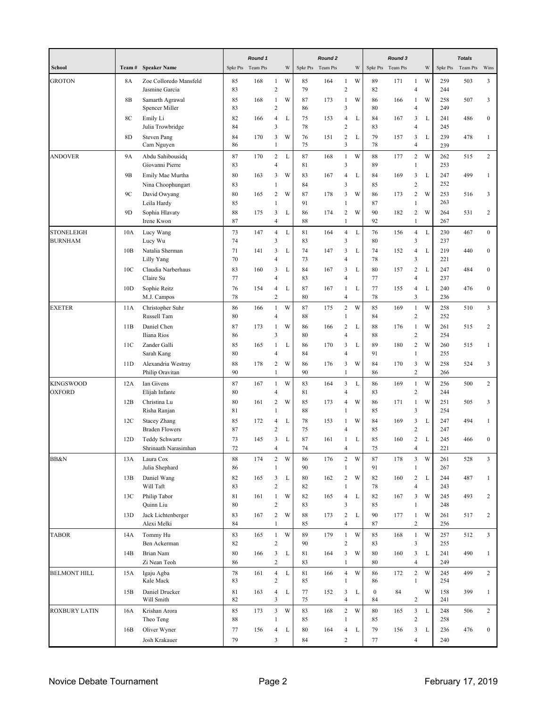|                            |                 |                                              |          | Round 1  |                                           |   |          | Round 2  |                                           |   |                    | Round 3           |                                           |             |            | <b>Totals</b> |                         |
|----------------------------|-----------------|----------------------------------------------|----------|----------|-------------------------------------------|---|----------|----------|-------------------------------------------|---|--------------------|-------------------|-------------------------------------------|-------------|------------|---------------|-------------------------|
| School                     | Team#           | <b>Speaker Name</b>                          | Spkr Pts | Team Pts |                                           | W | Spkr Pts | Team Pts |                                           | W |                    | Spkr Pts Team Pts |                                           | W           | Spkr Pts   | Team Pts      | Wins                    |
| <b>GROTON</b>              | 8A              | Zoe Colloredo Mansfeld<br>Jasmine Garcia     | 85<br>83 | 168      | $\mathbf{1}$<br>$\overline{c}$            | W | 85<br>79 | 164      | 1<br>$\overline{c}$                       | W | 89<br>82           | 171               | $\mathbf{1}$<br>$\overline{4}$            | W           | 259<br>244 | 503           | 3                       |
|                            | 8B              | Samarth Agrawal<br>Spencer Miller            | 85<br>83 | 168      | $\mathbf{1}$<br>$\overline{c}$            | W | 87<br>86 | 173      | 1<br>$\mathfrak{Z}$                       | W | 86<br>80           | 166               | $\mathbf{1}$<br>$\overline{4}$            | W           | 258<br>249 | 507           | 3                       |
|                            | 8C              | Emily Li<br>Julia Trowbridge                 | 82<br>84 | 166      | 4<br>3                                    | L | 75<br>78 | 153      | 4<br>$\overline{c}$                       | L | 84<br>83           | 167               | 3<br>$\overline{4}$                       | L           | 241<br>245 | 486           | $\boldsymbol{0}$        |
|                            | 8D              | <b>Steven Pang</b><br>Cam Nguyen             | 84<br>86 | 170      | 3<br>$\mathbf{1}$                         | W | 76<br>75 | 151      | $\sqrt{2}$<br>3                           | L | 79<br>78           | 157               | 3<br>$\overline{4}$                       | L           | 239<br>239 | 478           | $\mathbf{1}$            |
| ANDOVER                    | <b>9A</b>       | Abdu Sahibousidq<br>Giovanni Pierre          | 87<br>83 | 170      | $\overline{c}$<br>4                       | L | 87<br>81 | 168      | $\mathbf{1}$<br>$\overline{\mathbf{3}}$   | W | 88<br>89           | 177               | $\overline{c}$<br>$\,1$                   | W           | 262<br>253 | 515           | $\overline{c}$          |
|                            | 9B              | Emily Mae Murtha<br>Nina Choophungart        | 80<br>83 | 163      | 3<br>1                                    | W | 83<br>84 | 167      | $\overline{4}$<br>$\mathfrak{Z}$          | L | 84<br>85           | 169               | 3<br>$\overline{c}$                       | L           | 247<br>252 | 499           | $\mathbf{1}$            |
|                            | 9C              | David Owyang<br>Leila Hardy                  | 80<br>85 | 165      | $\overline{c}$<br>$\mathbf{1}$            | W | 87<br>91 | 178      | 3<br>$\mathbf{1}$                         | W | 86<br>87           | 173               | $\sqrt{2}$<br>$\mathbf{1}$                | W           | 253<br>263 | 516           | 3                       |
|                            | 9 <sub>D</sub>  | Sophia Hlavaty<br>Irene Kwon                 | 88<br>87 | 175      | 3<br>4                                    | L | 86<br>88 | 174      | $\sqrt{2}$<br>$\mathbf{1}$                | W | 90<br>92           | 182               | $\sqrt{2}$<br>$\mathbf 1$                 | W           | 264<br>267 | 531           | $\overline{c}$          |
| STONELEIGH<br>BURNHAM      | 10A             | Lucy Wang<br>Lucy Wu                         | 73<br>74 | 147      | $\overline{4}$<br>3                       | L | 81<br>83 | 164      | $\overline{4}$<br>$\mathfrak{Z}$          | L | 76<br>80           | 156               | $\overline{4}$<br>3                       | $\mathbf L$ | 230<br>237 | 467           | $\boldsymbol{0}$        |
|                            | 10B             | Natalia Sherman<br>Lilly Yang                | 71<br>70 | 141      | 3<br>4                                    | L | 74<br>73 | 147      | 3<br>$\overline{4}$                       | L | 74<br>78           | 152               | $\overline{4}$<br>$\overline{\mathbf{3}}$ | L           | 219<br>221 | 440           | $\boldsymbol{0}$        |
|                            | 10C             | Claudia Narberhaus<br>Claire Su              | 83<br>77 | 160      | 3<br>4                                    | L | 84<br>83 | 167      | 3<br>$\overline{4}$                       | L | 80<br>77           | 157               | $\sqrt{2}$<br>$\overline{4}$              | L           | 247<br>237 | 484           | $\boldsymbol{0}$        |
|                            | 10D             | Sophie Reitz<br>M.J. Campos                  | 76<br>78 | 154      | 4<br>$\overline{\mathbf{c}}$              | L | 87<br>80 | 167      | 1<br>$\overline{4}$                       | L | 77<br>78           | 155               | $\overline{4}$<br>$\mathfrak{Z}$          | L           | 240<br>236 | 476           | $\boldsymbol{0}$        |
| EXETER                     | 11A             | Christopher Suhr<br>Russell Tam              | 86<br>80 | 166      | $\mathbf{1}$<br>4                         | W | 87<br>88 | 175      | $\sqrt{2}$<br>$\mathbf{1}$                | W | 85<br>84           | 169               | $\mathbf{1}$<br>$\sqrt{2}$                | W           | 258<br>252 | 510           | $\overline{\mathbf{3}}$ |
|                            | 11B             | Daniel Chen<br>Iliana Rios                   | 87<br>86 | 173      | 1<br>3                                    | W | 86<br>80 | 166      | $\overline{c}$<br>$\overline{4}$          | L | 88<br>88           | 176               | $\mathbf{1}$<br>$\sqrt{2}$                | W           | 261<br>254 | 515           | $\boldsymbol{2}$        |
|                            | 11C             | Zander Galli<br>Sarah Kang                   | 85<br>80 | 165      | 1<br>4                                    | L | 86<br>84 | 170      | 3<br>$\overline{4}$                       | L | 89<br>91           | 180               | $\sqrt{2}$<br>$\mathbf{1}$                | W           | 260<br>255 | 515           | $\mathbf{1}$            |
|                            | 11D             | Alexandria Westray<br>Philip Oravitan        | 88<br>90 | 178      | $\overline{c}$<br>$\mathbf{1}$            | W | 86<br>90 | 176      | 3<br>$\mathbf{1}$                         | W | 84<br>86           | 170               | $\mathbf{3}$<br>$\sqrt{2}$                | W           | 258<br>266 | 524           | 3                       |
| <b>KINGSWOOD</b><br>OXFORD | 12A             | Ian Givens<br>Elijah Infante                 | 87<br>80 | 167      | $\mathbf{1}$<br>4                         | W | 83<br>81 | 164      | $\overline{\mathbf{3}}$<br>$\overline{4}$ | L | 86<br>83           | 169               | $\mathbf{1}$<br>$\sqrt{2}$                | W           | 256<br>244 | 500           | $\overline{2}$          |
|                            | 12B             | Christina Lu<br>Risha Ranjan                 | 80<br>81 | 161      | 2<br>$\mathbf{1}$                         | W | 85<br>88 | 173      | 4<br>$\mathbf{1}$                         | W | 86<br>85           | 171               | $\mathbf{1}$<br>$\overline{\mathbf{3}}$   | W           | 251<br>254 | 505           | 3                       |
|                            | 12 <sub>C</sub> | <b>Stacey Zhang</b><br><b>Braden Flowers</b> | 85<br>87 | 172      | 4<br>$\overline{\mathbf{c}}$              | L | 78<br>75 | 153      | 1<br>$\overline{4}$                       | W | 84<br>85           | 169               | 3<br>$\overline{c}$                       | L           | 247<br>247 | 494           | $\mathbf{1}$            |
|                            | 12D             | Teddy Schwartz<br>Shrinaath Narasimhan       | 73<br>72 | 145      | 3<br>4                                    | L | 87<br>74 | 161      | 1<br>4                                    | L | 85<br>75           | 160               | $\sqrt{2}$<br>$\overline{4}$              | L           | 245<br>221 | 466           | $\overline{0}$          |
| BB&N                       | 13A             | Laura Cox<br>Julia Shephard                  | 88<br>86 | 174      | $\sqrt{2}$<br>$\mathbf{1}$                | W | 86<br>90 | 176      | $\mathbf{2}$<br>$\mathbf{1}$              | W | 87<br>91           | 178               | $\mathfrak{Z}$<br>$\mathbf{1}$            | W           | 261<br>267 | 528           | 3                       |
|                            | 13B             | Daniel Wang<br>Will Taft                     | 82<br>83 | 165      | 3<br>$\overline{\mathbf{c}}$              | L | 80<br>82 | 162      | $\boldsymbol{2}$<br>$\mathbf{1}$          | W | 82<br>78           | 160               | $\boldsymbol{2}$<br>$\overline{4}$        | L           | 244<br>243 | 487           | $\mathbf{1}$            |
|                            | 13C             | Philip Tabor<br>Quinn Liu                    | 81<br>80 | 161      | $\mathbf{1}$<br>$\overline{c}$            | W | 82<br>83 | 165      | $\overline{4}$<br>$\mathfrak{Z}$          | L | 82<br>85           | 167               | 3<br>$\mathbf{1}$                         | W           | 245<br>248 | 493           | $\overline{2}$          |
|                            | 13D             | Jack Lichtenberger<br>Alexi Melki            | 83<br>84 | 167      | $\overline{c}$<br>$\mathbf{1}$            | W | 88<br>85 | 173      | $\sqrt{2}$<br>$\overline{4}$              | L | 90<br>87           | 177               | $\mathbf{1}$<br>$\sqrt{2}$                | W           | 261<br>256 | 517           | $\boldsymbol{2}$        |
| <b>TABOR</b>               | 14A             | Tommy Hu<br>Ben Ackerman                     | 83<br>82 | 165      | $1\,$<br>$\overline{c}$                   | W | 89<br>90 | 179      | $\,1\,$<br>$\overline{c}$                 | W | 85<br>83           | 168               | $\mathbf{1}$<br>3                         | W           | 257<br>255 | 512           | $\overline{\mathbf{3}}$ |
|                            | 14B             | Brian Nam<br>Zi Nean Teoh                    | 80<br>86 | 166      | 3<br>$\overline{c}$                       | L | 81<br>83 | 164      | 3<br>$\mathbf{1}$                         | W | 80<br>80           | 160               | 3<br>$\overline{4}$                       | L           | 241<br>249 | 490           | $\mathbf{1}$            |
| <b>BELMONT HILL</b>        | 15A             | Igaju Agba<br>Kale Mack                      | 78<br>83 | 161      | $\overline{4}$<br>$\overline{\mathbf{c}}$ | L | 81<br>85 | 166      | $\overline{4}$<br>$\mathbf{1}$            | W | 86<br>86           | 172               | $\overline{2}$<br>$\mathbf{1}$            | W           | 245<br>254 | 499           | $\overline{2}$          |
|                            | 15B             | Daniel Drucker<br>Will Smith                 | 81<br>82 | 163      | $\overline{4}$<br>3                       | L | 77<br>75 | 152      | $\mathfrak{Z}$<br>$\overline{4}$          | L | $\mathbf{0}$<br>84 | 84                | $\sqrt{2}$                                | W           | 158<br>241 | 399           | $\mathbf{1}$            |
| ROXBURY LATIN              | 16A             | Krishan Arora<br>Theo Teng                   | 85<br>88 | 173      | $\mathbf{3}$<br>$\mathbf{1}$              | W | 83<br>85 | 168      | $\mathbf{2}$<br>$\mathbf{1}$              | W | 80<br>85           | 165               | $\mathfrak{Z}$<br>$\overline{c}$          | $\mathbf L$ | 248<br>258 | 506           | $\overline{c}$          |
|                            | 16B             | Oliver Wyner<br>Josh Krakauer                | 77<br>79 | 156      | $\overline{4}$<br>$\mathfrak{Z}$          | L | 80<br>84 | 164      | $\overline{4}$<br>$\sqrt{2}$              | L | 79<br>77           | 156               | 3<br>$\overline{4}$                       | L           | 236<br>240 | 476           | $\boldsymbol{0}$        |